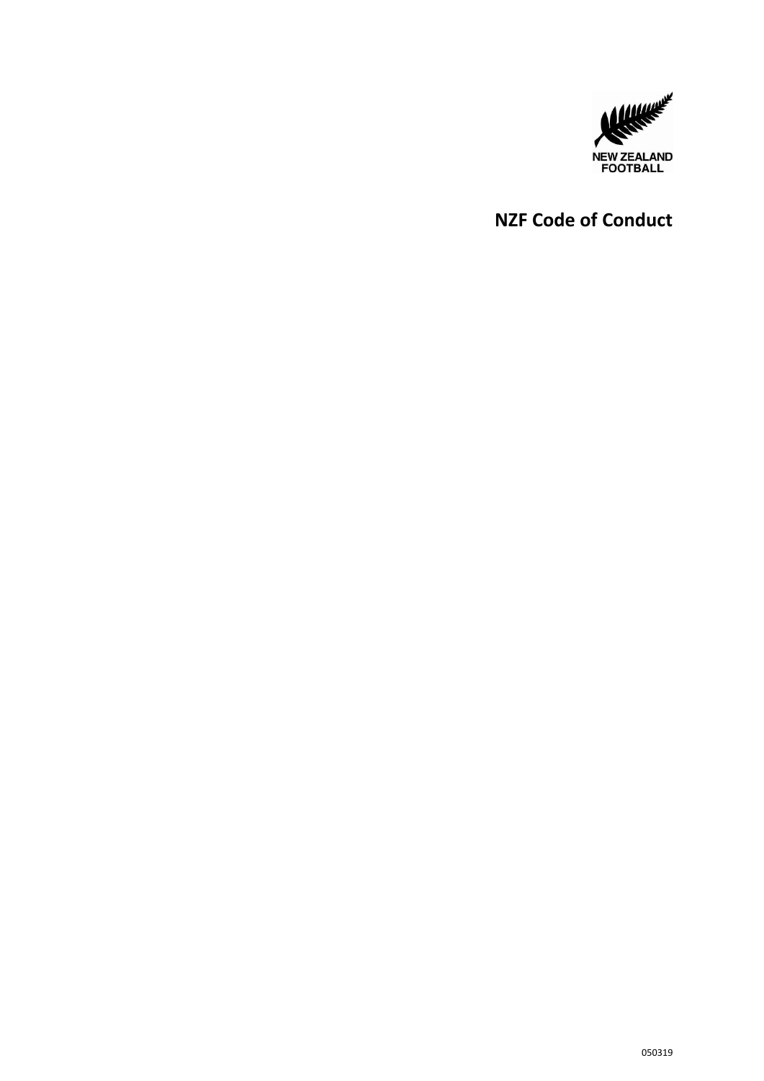

# **NZF Code of Conduct**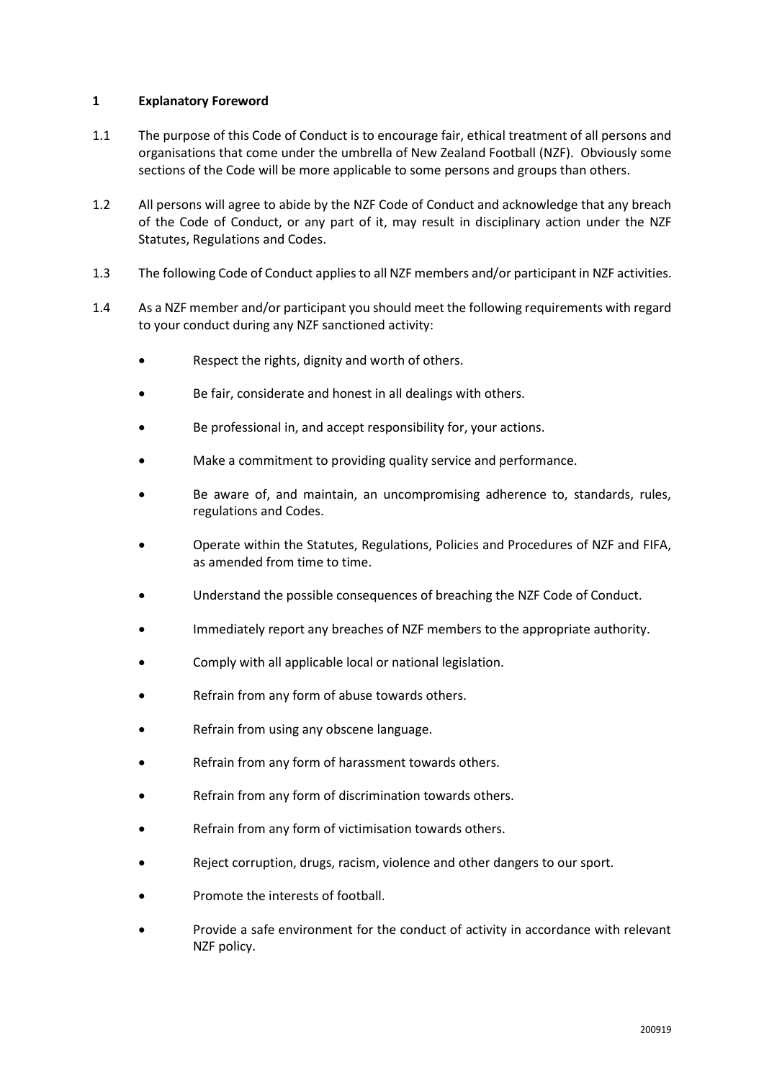### **1 Explanatory Foreword**

- 1.1 The purpose of this Code of Conduct is to encourage fair, ethical treatment of all persons and organisations that come under the umbrella of New Zealand Football (NZF). Obviously some sections of the Code will be more applicable to some persons and groups than others.
- 1.2 All persons will agree to abide by the NZF Code of Conduct and acknowledge that any breach of the Code of Conduct, or any part of it, may result in disciplinary action under the NZF Statutes, Regulations and Codes.
- 1.3 The following Code of Conduct applies to all NZF members and/or participant in NZF activities.
- 1.4 As a NZF member and/or participant you should meet the following requirements with regard to your conduct during any NZF sanctioned activity:
	- Respect the rights, dignity and worth of others.
	- Be fair, considerate and honest in all dealings with others.
	- Be professional in, and accept responsibility for, your actions.
	- Make a commitment to providing quality service and performance.
	- Be aware of, and maintain, an uncompromising adherence to, standards, rules, regulations and Codes.
	- Operate within the Statutes, Regulations, Policies and Procedures of NZF and FIFA, as amended from time to time.
	- Understand the possible consequences of breaching the NZF Code of Conduct.
	- Immediately report any breaches of NZF members to the appropriate authority.
	- Comply with all applicable local or national legislation.
	- Refrain from any form of abuse towards others.
	- Refrain from using any obscene language.
	- Refrain from any form of harassment towards others.
	- Refrain from any form of discrimination towards others.
	- Refrain from any form of victimisation towards others.
	- Reject corruption, drugs, racism, violence and other dangers to our sport.
	- Promote the interests of football.
	- Provide a safe environment for the conduct of activity in accordance with relevant NZF policy.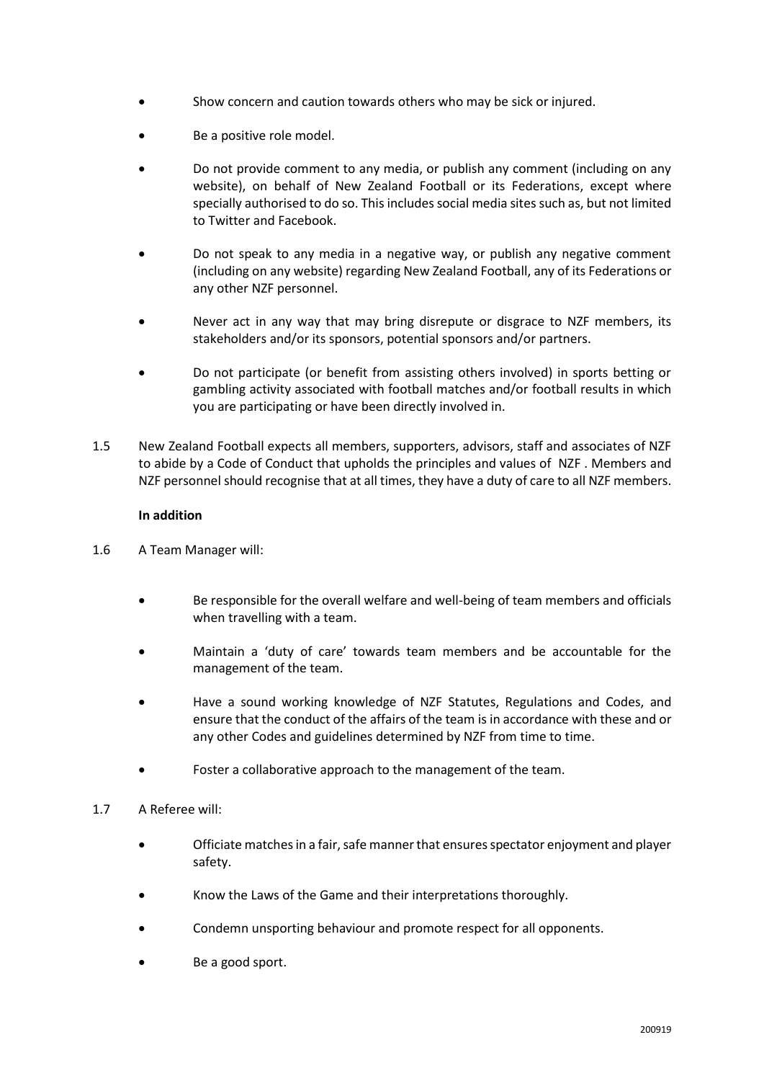- Show concern and caution towards others who may be sick or injured.
- Be a positive role model.
- Do not provide comment to any media, or publish any comment (including on any website), on behalf of New Zealand Football or its Federations, except where specially authorised to do so. This includes social media sites such as, but not limited to Twitter and Facebook.
- Do not speak to any media in a negative way, or publish any negative comment (including on any website) regarding New Zealand Football, any of its Federations or any other NZF personnel.
- Never act in any way that may bring disrepute or disgrace to NZF members, its stakeholders and/or its sponsors, potential sponsors and/or partners.
- Do not participate (or benefit from assisting others involved) in sports betting or gambling activity associated with football matches and/or football results in which you are participating or have been directly involved in.
- 1.5 New Zealand Football expects all members, supporters, advisors, staff and associates of NZF to abide by a Code of Conduct that upholds the principles and values of NZF . Members and NZF personnel should recognise that at all times, they have a duty of care to all NZF members.

## **In addition**

- 1.6 A Team Manager will:
	- Be responsible for the overall welfare and well-being of team members and officials when travelling with a team.
	- Maintain a 'duty of care' towards team members and be accountable for the management of the team.
	- Have a sound working knowledge of NZF Statutes, Regulations and Codes, and ensure that the conduct of the affairs of the team is in accordance with these and or any other Codes and guidelines determined by NZF from time to time.
	- Foster a collaborative approach to the management of the team.
- 1.7 A Referee will:
	- Officiate matches in a fair, safe manner that ensures spectator enjoyment and player safety.
	- Know the Laws of the Game and their interpretations thoroughly.
	- Condemn unsporting behaviour and promote respect for all opponents.
	- Be a good sport.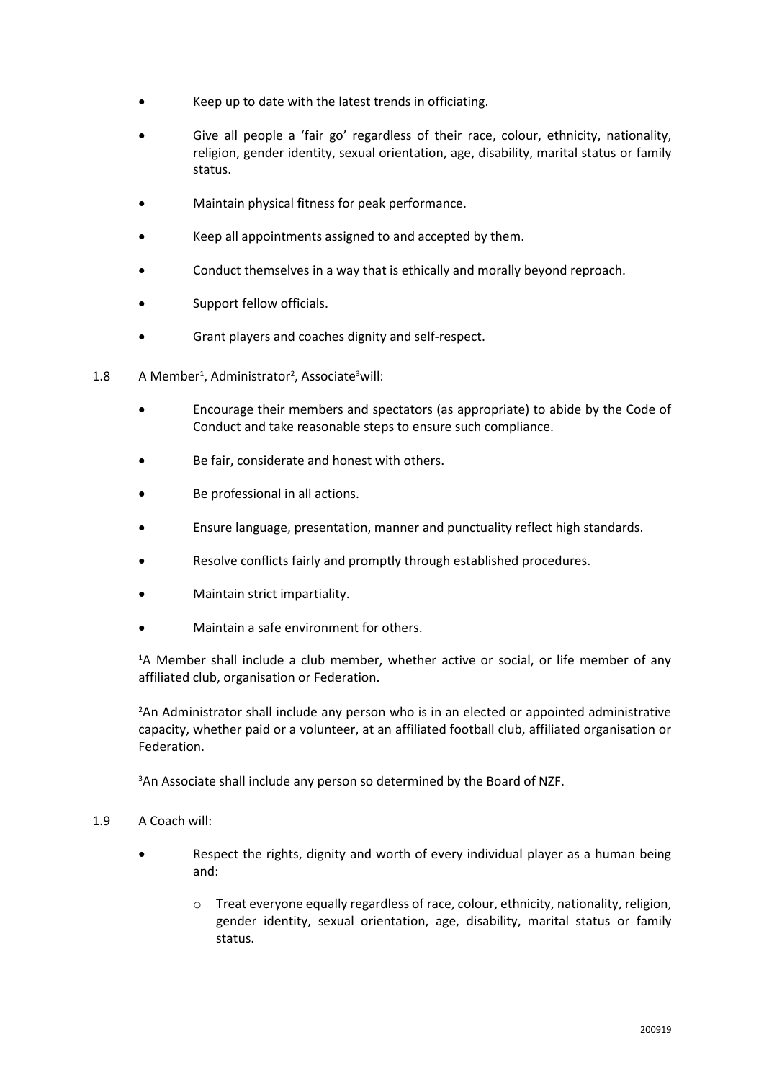- Keep up to date with the latest trends in officiating.
- Give all people a 'fair go' regardless of their race, colour, ethnicity, nationality, religion, gender identity, sexual orientation, age, disability, marital status or family status.
- Maintain physical fitness for peak performance.
- Keep all appointments assigned to and accepted by them.
- Conduct themselves in a way that is ethically and morally beyond reproach.
- Support fellow officials.
- Grant players and coaches dignity and self-respect.
- 1.8 A Member<sup>1</sup>, Administrator<sup>2</sup>, Associate<sup>3</sup> will:
	- Encourage their members and spectators (as appropriate) to abide by the Code of Conduct and take reasonable steps to ensure such compliance.
	- Be fair, considerate and honest with others.
	- Be professional in all actions.
	- Ensure language, presentation, manner and punctuality reflect high standards.
	- Resolve conflicts fairly and promptly through established procedures.
	- Maintain strict impartiality.
	- Maintain a safe environment for others.

<sup>1</sup>A Member shall include a club member, whether active or social, or life member of any affiliated club, organisation or Federation.

<sup>2</sup>An Administrator shall include any person who is in an elected or appointed administrative capacity, whether paid or a volunteer, at an affiliated football club, affiliated organisation or Federation.

<sup>3</sup>An Associate shall include any person so determined by the Board of NZF.

#### 1.9 A Coach will:

- Respect the rights, dignity and worth of every individual player as a human being and:
	- o Treat everyone equally regardless of race, colour, ethnicity, nationality, religion, gender identity, sexual orientation, age, disability, marital status or family status.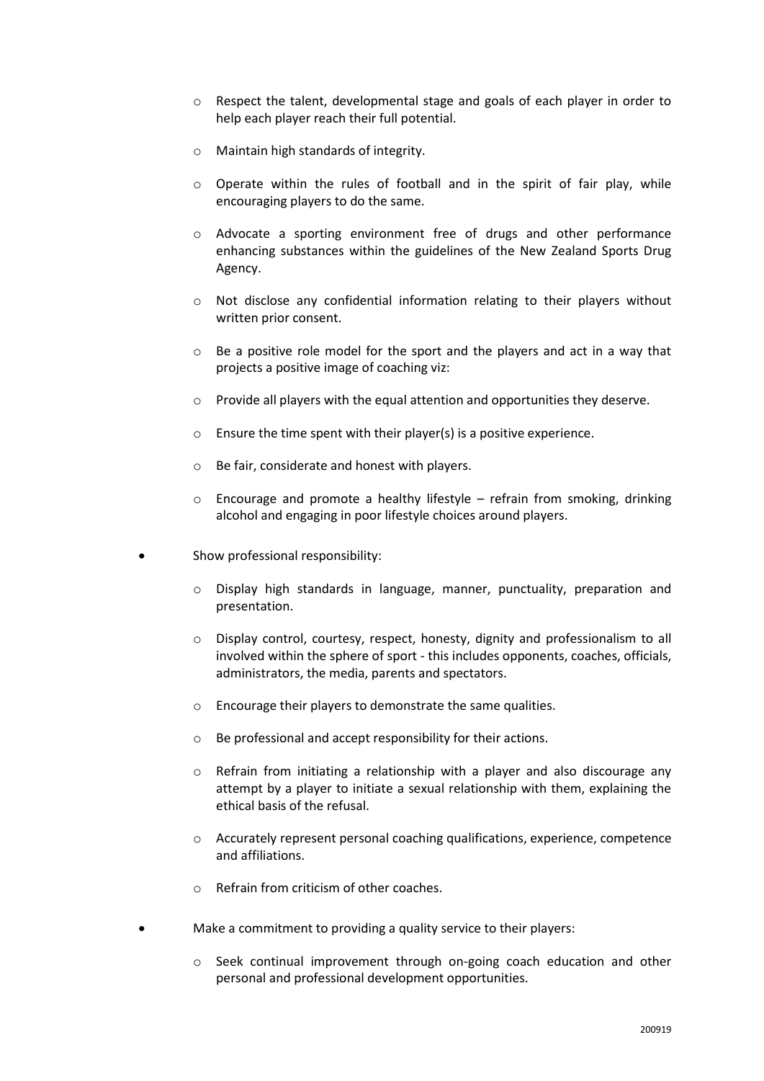- o Respect the talent, developmental stage and goals of each player in order to help each player reach their full potential.
- o Maintain high standards of integrity.
- o Operate within the rules of football and in the spirit of fair play, while encouraging players to do the same.
- o Advocate a sporting environment free of drugs and other performance enhancing substances within the guidelines of the New Zealand Sports Drug Agency.
- o Not disclose any confidential information relating to their players without written prior consent.
- o Be a positive role model for the sport and the players and act in a way that projects a positive image of coaching viz:
- $\circ$  Provide all players with the equal attention and opportunities they deserve.
- $\circ$  Ensure the time spent with their player(s) is a positive experience.
- o Be fair, considerate and honest with players.
- $\circ$  Encourage and promote a healthy lifestyle refrain from smoking, drinking alcohol and engaging in poor lifestyle choices around players.
- Show professional responsibility:
	- o Display high standards in language, manner, punctuality, preparation and presentation.
	- o Display control, courtesy, respect, honesty, dignity and professionalism to all involved within the sphere of sport - this includes opponents, coaches, officials, administrators, the media, parents and spectators.
	- o Encourage their players to demonstrate the same qualities.
	- o Be professional and accept responsibility for their actions.
	- o Refrain from initiating a relationship with a player and also discourage any attempt by a player to initiate a sexual relationship with them, explaining the ethical basis of the refusal.
	- $\circ$  Accurately represent personal coaching qualifications, experience, competence and affiliations.
	- o Refrain from criticism of other coaches.
- Make a commitment to providing a quality service to their players:
	- o Seek continual improvement through on-going coach education and other personal and professional development opportunities.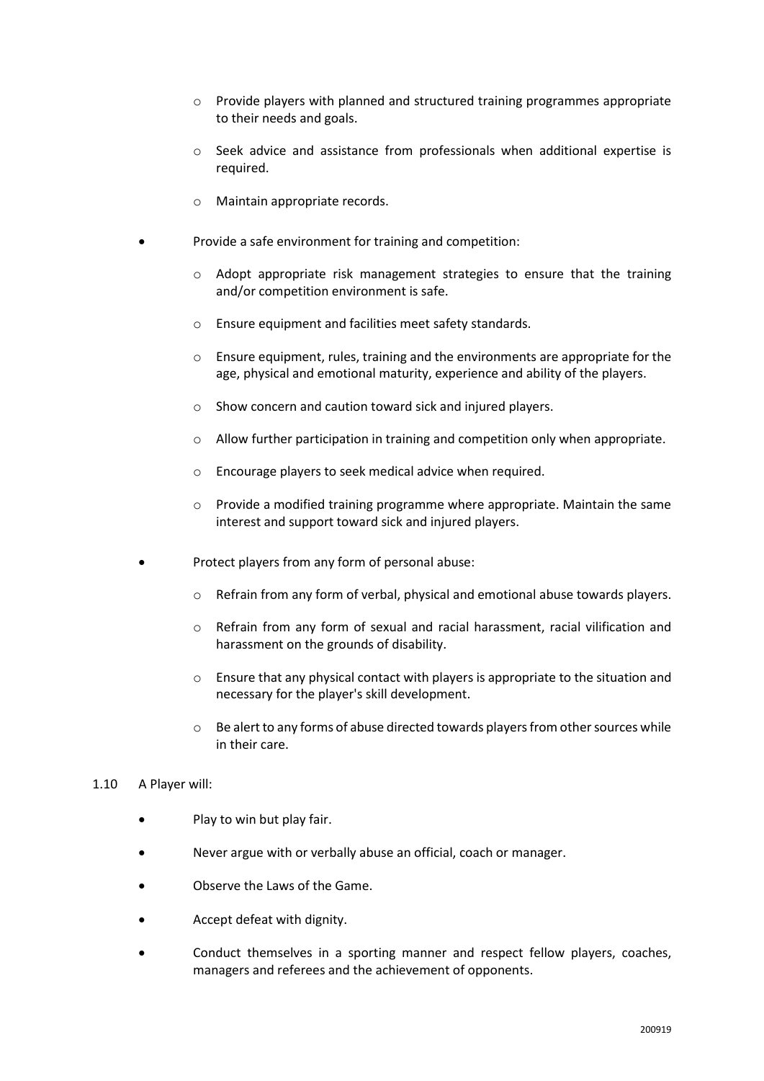- o Provide players with planned and structured training programmes appropriate to their needs and goals.
- o Seek advice and assistance from professionals when additional expertise is required.
- o Maintain appropriate records.
- Provide a safe environment for training and competition:
	- o Adopt appropriate risk management strategies to ensure that the training and/or competition environment is safe.
	- o Ensure equipment and facilities meet safety standards.
	- $\circ$  Ensure equipment, rules, training and the environments are appropriate for the age, physical and emotional maturity, experience and ability of the players.
	- o Show concern and caution toward sick and injured players.
	- $\circ$  Allow further participation in training and competition only when appropriate.
	- o Encourage players to seek medical advice when required.
	- o Provide a modified training programme where appropriate. Maintain the same interest and support toward sick and injured players.
- Protect players from any form of personal abuse:
	- $\circ$  Refrain from any form of verbal, physical and emotional abuse towards players.
	- $\circ$  Refrain from any form of sexual and racial harassment, racial vilification and harassment on the grounds of disability.
	- $\circ$  Ensure that any physical contact with players is appropriate to the situation and necessary for the player's skill development.
	- $\circ$  Be alert to any forms of abuse directed towards players from other sources while in their care.

#### 1.10 A Player will:

- Play to win but play fair.
- Never argue with or verbally abuse an official, coach or manager.
- Observe the Laws of the Game.
- Accept defeat with dignity.
- Conduct themselves in a sporting manner and respect fellow players, coaches, managers and referees and the achievement of opponents.